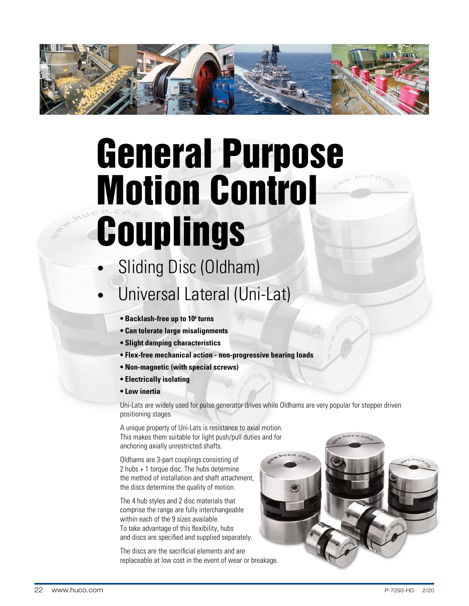

# General Purpose Motion Control Couplings

- Sliding Disc (Oldham)
- Universal Lateral (Uni-Lat)
	- **Backlash-free up to 10<sup>8</sup> turns**
	- **Can tolerate large misalignments**
	- **Slight damping characteristics**
	- **Flex-free mechanical action non-progressive bearing loads**
	- **Non-magnetic (with special screws)**
	- **Electrically isolating**
	- **Low inertia**

Uni-Lats are widely used for pulse generator drives while Oldhams are very popular for stepper driven positioning stages.

A unique property of Uni-Lats is resistance to axial motion. This makes them suitable for light push/pull duties and for anchoring axially unrestricted shafts.

Oldhams are 3-part couplings consisting of 2 hubs + 1 torque disc. The hubs determine the method of installation and shaft attachment, the discs determine the quality of motion.

The 4 hub styles and 2 disc materials that comprise the range are fully interchangeable within each of the 9 sizes available. To take advantage of this flexibility, hubs and discs are specified and supplied separately.

The discs are the sacrificial elements and are replaceable at low cost in the event of wear or breakage.

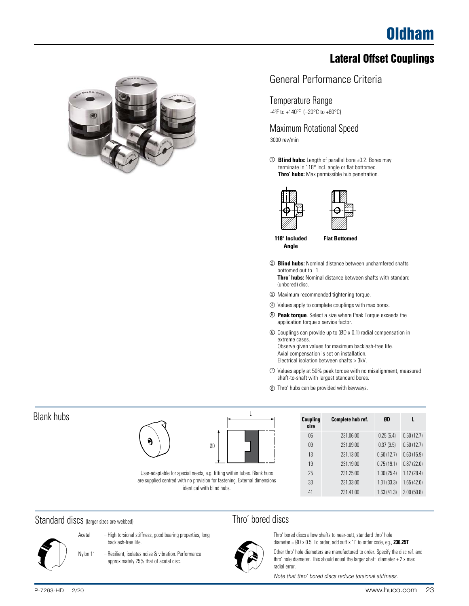# Lateral Offset Couplings



# General Performance Criteria

#### Temperature Range

-4ºF to +140ºF (–20°C to +60°C)

Maximum Rotational Speed 3000 rev/min

**Blind hubs:** Length of parallel bore ±0.2. Bores may 1 terminate in 118° incl. angle or flat bottomed. **Thro' hubs:** Max permissible hub penetration.





**118º Included Angle**

**Flat Bottomed**

- <sup>2</sup> **Blind hubs:** Nominal distance between unchamfered shafts bottomed out to L1. **Thro' hubs:** Nominal distance between shafts with standard
	- (unbored) disc.
- 3 Maximum recommended tightening torque.
- 4 Values apply to complete couplings with max bores.
- 5 **Peak torque**. Select a size where Peak Torque exceeds the application torque x service factor.
- 6 Couplings can provide up to (ØD x 0.1) radial compensation in extreme cases. Observe given values for maximum backlash-free life. Axial compensation is set on installation.
	- Electrical isolation between shafts > 3kV.
- 7 Values apply at 50% peak torque with no misalignment, measured shaft-to-shaft with largest standard bores.
- 8 Thro' hubs can be provided with keyways.

| Coupling<br>size | Complete hub ref. | ØD         | L          |
|------------------|-------------------|------------|------------|
| 06               | 231.06.00         | 0.25(6.4)  | 0.50(12.7) |
| 09               | 231.09.00         | 0.37(9.5)  | 0.50(12.7) |
| 13               | 231.13.00         | 0.50(12.7) | 0.63(15.9) |
| 19               | 231.19.00         | 0.75(19.1) | 0.87(22.0) |
| 25               | 231,25.00         | 1.00(25.4) | 1.12(28.4) |
| 33               | 231.33.00         | 1.31(33.3) | 1.65(42.0) |
| 41               | 231.41.00         | 1.63(41.3) | 2.00(50.8) |

# Thro' bored discs



Thro' bored discs allow shafts to near-butt, standard thro' hole diameter = ØD x 0.5. To order, add suffix 'T' to order code, eg., **236.25T** Other thro' hole diameters are manufactured to order. Specify the disc ref. and

thro' hole diameter. This should equal the larger shaft diameter + 2 x max radial error.

*Note that thro' bored discs reduce torsional stiffness.*

# Blank hubs



User-adaptable for special needs, e.g. fitting within tubes. Blank hubs are supplied centred with no provision for fastening. External dimensions identical with blind hubs.

#### Standard discs (larger sizes are webbed)



- Acetal High torsional stiffness, good bearing properties, long backlash-free life.
- Nylon 11 Resilient, isolates noise & vibration. Performance approximately 25% that of acetal disc.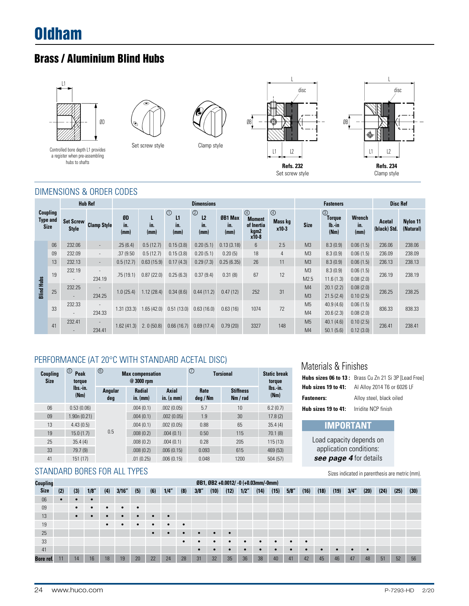# Oldham

# Brass / Aluminium Blind Hubs





Controlled bore depth L1 provides Set screw style Controlled bore depth L1 provides a register when pre-assembling hubs to shafts





#### DIMENSIONS & ORDER CODES

|                   |                                                   |                                    | <b>Hub Ref</b>                     |                   |                  |                              | <b>Dimensions</b>                               |                        |                                                                       |                                           |                        | <b>Fasteners</b>                                 |                              | <b>Disc Ref</b>        |                       |
|-------------------|---------------------------------------------------|------------------------------------|------------------------------------|-------------------|------------------|------------------------------|-------------------------------------------------|------------------------|-----------------------------------------------------------------------|-------------------------------------------|------------------------|--------------------------------------------------|------------------------------|------------------------|-----------------------|
|                   | <b>Coupling</b><br><b>Type and</b><br><b>Size</b> | <b>Set Screw</b><br><b>Style</b>   | <b>Clamp Style</b>                 | ØD<br>in.<br>(mm) | L<br>in.<br>(mm) | $\odot$<br>L1<br>in.<br>(mm) | $^{\circledR}$<br>L <sub>2</sub><br>in.<br>(mm) | ØB1 Max<br>in.<br>(mm) | $\circled{4}$<br><b>Moment</b><br>of Inertia<br>kgm2<br>$x\bar{1}0-8$ | $\circledcirc$<br><b>Mass kg</b><br>x10-3 | <b>Size</b>            | $\circledS$<br><b>Torque</b><br>$Ib.-in$<br>(Nm) | <b>Wrench</b><br>in.<br>(mm) | Acetal<br>(black) Std. | Nylon 11<br>(Natural) |
|                   | 06                                                | 232.06                             | $\overline{\phantom{a}}$           | .25(6.4)          | 0.5(12.7)        | 0.15(3.8)                    | 0.20(5.1)                                       | 0.13(3.18)             | 6                                                                     | 2.5                                       | M <sub>3</sub>         | 8.3(0.9)                                         | 0.06(1.5)                    | 236.06                 | 238.06                |
|                   | 09                                                | 232.09                             | $\overline{\phantom{a}}$           | .37 (9.50         | 0.5(12.7)        | 0.15(3.8)                    | 0.20(5.1)                                       | 0.20(5)                | 18                                                                    | 4                                         | M <sub>3</sub>         | 8.3(0.9)                                         | 0.06(1.5)                    | 236.09                 | 238.09                |
|                   | 13                                                | 232.13                             | $\overline{\phantom{a}}$           | 0.5(12.7)         | 0.63(15.9)       | 0.17(4.3)                    | 0.29(7.3)                                       | 0.25(6.35)             | 26                                                                    | 11                                        | M <sub>3</sub>         | 8.3(0.9)                                         | 0.06(1.5)                    | 236.13                 | 238.13                |
|                   | 19                                                | 232.19                             | 234.19                             | .75(19.1)         | 0.87(22.0)       | 0.25(6.3)                    | 0.37(9.4)                                       | 0.31(8)                | 67                                                                    | 12                                        | M <sub>3</sub><br>M2.5 | 8.3(0.9)<br>11.6(1.3)                            | 0.06(1.5)<br>0.08(2.0)       | 236.19                 | 238.19                |
| <b>Blind Hubs</b> | 25                                                | 232.25<br>$\overline{\phantom{a}}$ | ۰<br>234.25                        | 1.0(25.4)         | 1.12(28.4)       | 0.34(8.6)                    | 0.44(11.2)                                      | 0.47(12)               | 252                                                                   | 31                                        | M4<br>M <sub>3</sub>   | 20.1(2.2)<br>21.5(2.4)                           | 0.08(2.0)<br>0.10(2.5)       | 236.25                 | 238.25                |
|                   | 33                                                | 232.33<br>$\overline{\phantom{a}}$ | $\overline{\phantom{a}}$<br>234.33 | 1.31(33.3)        | 1.65(42.0)       | 0.51<br>(13.0)               | 0.63(16.0)                                      | 0.63(16)               | 1074                                                                  | 72                                        | M <sub>5</sub><br>M4   | 40.9(4.6)<br>20.6(2.3)                           | 0.06(1.5)<br>0.08(2.0)       | 836.33                 | 838.33                |
|                   | 41                                                | 232.41                             | $\overline{\phantom{a}}$<br>234.41 | 1.62(41.3)        | 2.0(50.8)        | 0.66(16.7)                   | 0.69(17.4)                                      | 0.79(20)               | 3327                                                                  | 148                                       | M <sub>5</sub><br>M4   | 40.1(4.6)<br>50.1(5.6)                           | 0.10(2.5)<br>0.12(3.0)       | 236.41                 | 238.41                |

# PERFORMANCE (AT 20°C WITH STANDARD ACETAL DISC)

| Coupling<br><b>Size</b> | ⑤<br>Peak<br>torque         | ◉              | <b>Max compensation</b><br>@ 3000 rpm |                         | ℗                | <b>Torsional</b>             | <b>Static break</b><br>torque |
|-------------------------|-----------------------------|----------------|---------------------------------------|-------------------------|------------------|------------------------------|-------------------------------|
|                         | $\mathsf{Ibs}$ -in.<br>(Nm) | Angular<br>deg | <b>Radial</b><br>$in.$ (mm)           | Axial<br>in. $(\pm$ mm) | Rate<br>deg / Nm | <b>Stiffness</b><br>Nm / rad | lbs.-in.<br>(Mm)              |
| 06                      | 0.53(0.06)                  |                | .004(0.1)                             | .002(0.05)              | 5.7              | 10                           | 6.2(0.7)                      |
| 09                      | 1.90n(0.21)                 |                | .004(0.1)                             | .002(0.05)              | 1.9              | 30                           | 17.8(2)                       |
| 13                      | 4.43(0.5)                   |                | .004(0.1)                             | .002(0.05)              | 0.88             | 65                           | 35.4(4)                       |
| 19                      | 15.0(1.7)                   | 0.5            | .008(0.2)                             | .004(0.1)               | 0.50             | 115                          | 70.1(8)                       |
| 25                      | 35.4(4)                     |                | .008(0.2)                             | .004(0.1)               | 0.28             | 205                          | 115(13)                       |
| 33                      | 79.7 (9)                    |                | .008(0.2)                             | .006(0.15)              | 0.093            | 615                          | 469 (53)                      |
| 41                      | 151(17)                     |                | .01(0.25)                             | .006(0.15)              | 0.048            | 1200                         | 504 (57)                      |

#### STANDARD BORES FOR ALL TYPES

|                 |     |     |     |           |           |     |           |           |           |      |           |           |                                     |           |           |           |           |      | press maisatou in parcharosis are mothe (mini). |      |           |      |      |      |
|-----------------|-----|-----|-----|-----------|-----------|-----|-----------|-----------|-----------|------|-----------|-----------|-------------------------------------|-----------|-----------|-----------|-----------|------|-------------------------------------------------|------|-----------|------|------|------|
| <b>Coupling</b> |     |     |     |           |           |     |           |           |           |      |           |           | ØB1, ØB2 +0.0012/ -0 (+0.03mm/-0mm) |           |           |           |           |      |                                                 |      |           |      |      |      |
| <b>Size</b>     | (2) | (3) | 1/8 | (4)       | 3/16"     | (5) | (6)       | 1/4"      | (8)       | 3/8" | (10)      | (12)      | 1/2"                                | (14)      | (15)      | 5/8"      | (16)      | (18) | (19)                                            | 3/4" | (20)      | (24) | (25) | (30) |
| 06              |     |     |     |           |           |     |           |           |           |      |           |           |                                     |           |           |           |           |      |                                                 |      |           |      |      |      |
| 09              |     | ٠   |     |           | $\bullet$ |     |           |           |           |      |           |           |                                     |           |           |           |           |      |                                                 |      |           |      |      |      |
| 13              |     | ٠   |     |           |           |     |           |           |           |      |           |           |                                     |           |           |           |           |      |                                                 |      |           |      |      |      |
| 19              |     |     |     | $\bullet$ |           |     | $\bullet$ | $\bullet$ | $\bullet$ |      |           |           |                                     |           |           |           |           |      |                                                 |      |           |      |      |      |
| 25              |     |     |     |           |           |     |           |           |           |      |           | $\bullet$ |                                     |           |           |           |           |      |                                                 |      |           |      |      |      |
| 33              |     |     |     |           |           |     |           |           | $\bullet$ |      | $\bullet$ | $\bullet$ | $\bullet$                           | $\bullet$ | $\bullet$ | $\bullet$ | $\bullet$ |      |                                                 |      |           |      |      |      |
| 41              |     |     |     |           |           |     |           |           |           |      |           | $\bullet$ | $\bullet$                           |           |           |           |           |      |                                                 |      | $\bullet$ |      |      |      |
| Bore ref.       |     | 14  | 16  | 18        | 19        | 20  | 22        | 24        | 28        | 31   | 32        | 35        | 36                                  | 38        | 40        | 41        | 42        | 45   | 46                                              | 47   | 48        | 51   | 52   | 56   |

# Materials & Finishes

|                     | <b>Hubs sizes 06 to 13:</b> Brass Cu Zn 21 Si 3P [Lead Free] |
|---------------------|--------------------------------------------------------------|
| Hub sizes 19 to 41: | AI Alloy 2014 T6 or 6026 LF                                  |
| <b>Fasteners:</b>   | Alloy steel, black oiled                                     |
| Hub sizes 19 to 41: | Irridite NCP finish                                          |

# **IMPORTANT**

Load capacity depends on application conditions: *see page 4* for details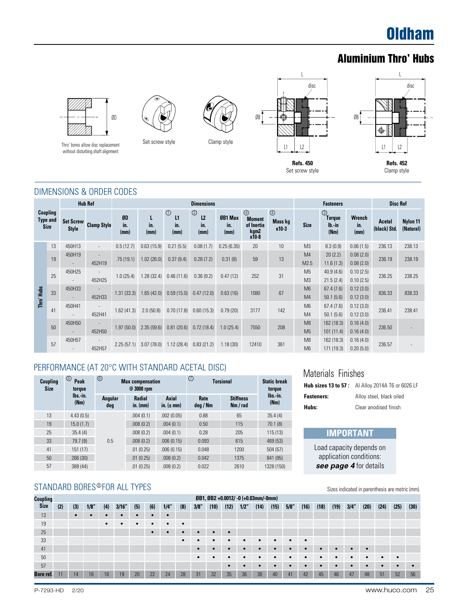# **Oldham**

# Aluminium Thro' Hubs





Thro' bores allow disc replacement without disturbing shaft alignment

Set screw style Clamp style



Set screw style



#### DIMENSIONS & ORDER CODES

|            |                                            |                                    | <b>Hub Ref</b>                     |                   |                  |                              | <b>Dimensions</b>                               |                        |                                                                |                                   | <b>Fasteners</b>                 |                                                | <b>Disc Ref</b>              |                        |                       |
|------------|--------------------------------------------|------------------------------------|------------------------------------|-------------------|------------------|------------------------------|-------------------------------------------------|------------------------|----------------------------------------------------------------|-----------------------------------|----------------------------------|------------------------------------------------|------------------------------|------------------------|-----------------------|
|            | Coupling<br><b>Type and</b><br><b>Size</b> | <b>Set Screw</b><br><b>Style</b>   | <b>Clamp Style</b>                 | ØD<br>in.<br>(mm) | L<br>in.<br>(mm) | $\odot$<br>L1<br>in.<br>(mm) | $^{\circledR}$<br>L <sub>2</sub><br>in.<br>(mm) | ØB1 Max<br>in.<br>(mm) | $^{\circledR}$<br><b>Moment</b><br>of Inertia<br>kgm2<br>x10-8 | $\circled{4}$<br>Mass kg<br>x10-3 | <b>Size</b>                      | $\circledS$<br><b>Torque</b><br>lb.-in<br>(Nm) | <b>Wrench</b><br>in.<br>(mm) | Acetal<br>(black) Std. | Nylon 11<br>(Natural) |
|            | 13                                         | 450H13                             | $\overline{\phantom{a}}$           | 0.5(12.7)         | 0.63(15.9)       | 0.21(5.5)                    | 0.08(1.7)                                       | 0.25(6.35)             | 20                                                             | 10                                | M <sub>3</sub>                   | 8.3(0.9)                                       | 0.06(1.5)                    | 236.13                 | 238.13                |
|            | 19                                         | 450H19                             | 452H19                             | .75(19.1)         | 1.02(26.0)       | 0.37(9.4)                    | 0.28(7.2)                                       | 0.31(8)                | 59                                                             | 13                                | M <sub>4</sub><br>M2.5           | 20(2.2)<br>11.6(1.3)                           | 0.08(2.0)<br>0.08(2.0)       | 236.19                 | 238.19                |
|            | 25                                         | 450H25                             | 452H25                             | 1.0(25.4)         | 1.28(32.4)       | 0.46(11.6)                   | 0.36(9.2)                                       | 0.47(12)               | 252                                                            | 31                                | M <sub>5</sub><br>M <sub>3</sub> | 40.9(4.6)<br>21.5(2.4)                         | 0.10(2.5)<br>0.10(2.5)       | 236.25                 | 238.25                |
| Thro' Hubs | 33                                         | 450H33                             | 452H33                             | 1.31(33.3)        | 1.65(42.0)       | 0.59(15.0)                   | 0.47(12.0)                                      | 0.63(16)               | 1080                                                           | 67                                | M <sub>6</sub><br>M4             | 67.4(7.6)<br>50.1(5.6)                         | 0.12(3.0)<br>0.12(3.0)       | 836.33                 | 838.33                |
|            | 41                                         | 450H41                             | 452H41                             | 1.62(41.3)        | 2.0(50.8)        | 0.70(17.8)                   | 0.60(15.3)                                      | 0.79(20)               | 3177                                                           | 142                               | M <sub>6</sub><br>M4             | 67.4(7.6)<br>50.1(5.6)                         | 0.12(3.0)<br>0.12(3.0)       | 236.41                 | 238.41                |
|            | 50                                         | 450H50<br>$\overline{\phantom{a}}$ | 452H50                             | 1.97(50.0)        | 2.35(59.6)       | 0.81(20.6)                   | 0.72(18.4)                                      | 1.0(25.4)              | 7550                                                           | 208                               | M8<br>M <sub>5</sub>             | 162 (18.3)<br>101(11.4)                        | 0.16(4.0)<br>0.16(4.0)       | 236.50                 |                       |
|            | 57                                         | 450H57                             | $\overline{\phantom{a}}$<br>452H57 | 2.25(57.1)        | 3.07(78.0)       | 1.12(28.4)                   | 0.83(21.2)                                      | 1.18(30)               | 12410                                                          | 361                               | M <sub>8</sub><br>M <sub>6</sub> | 162 (18.3)<br>171 (19.3)                       | 0.16(4.0)<br>0.20(5.0)       | 236.57                 |                       |

#### PERFORMANCE (AT 20°C WITH STANDARD ACETAL DISC)

| Coupling<br><b>Size</b> | ⑤<br>Peak<br>torque | $^{\circledR}$ | <b>Max compensation</b><br>@ 3000 rpm |                                | $^\circledR$<br><b>Torsional</b> | <b>Static break</b><br>torque |                  |
|-------------------------|---------------------|----------------|---------------------------------------|--------------------------------|----------------------------------|-------------------------------|------------------|
|                         | lbs.-in.<br>(Nm)    | Angular<br>deg | <b>Radial</b><br>$in.$ (mm)           | <b>Axial</b><br>in. $(\pm$ mm) | Rate<br>deg / Nm                 | <b>Stiffness</b><br>Nm / rad  | lbs.-in.<br>(Mm) |
| 13                      | 4.43(0.5)           |                | .004(0.1)                             | .002(0.05)                     | 0.88                             | 65                            | 35.4(4)          |
| 19                      | 15.0(1.7)           |                | .008(0.2)                             | .004(0.1)                      | 0.50                             | 115                           | 70.1(8)          |
| 25                      | 35.4(4)             |                | .008(0.2)                             | .004(0.1)                      | 0.28                             | 205                           | 115(13)          |
| 33                      | 79.7 (9)            | 0.5            | .008(0.2)                             | .006(0.15)                     | 0.093                            | 615                           | 469 (53)         |
| 41                      | 151 (17)            |                | .01(0.25)                             | .006(0.15)                     | 0.048                            | 1200                          | 504 (57)         |
| 50                      | 266 (30)            |                | .01(0.25)                             | .008(0.2)                      | 0.042                            | 1375                          | 841 (95)         |
| 57                      | 389 (44)            |                | .01(0.25)                             | .008(0.2)                      | 0.022                            | 2610                          | 1328 (150)       |

# STANDARD BORES®FOR ALL TYPES

#### • • • • • • • • • • • • • • • • • • • • • • • • • • • • • • • • • • • • • • • • • • • • • • • • • • • • • • • • • • • • • • • • • • • 11 14 16 18 19 20 22 24 28 31 32 35 36 38 40 41 42 45 46 47 48 51 52 56 13 19 25 33 41 50 57 **Bore ref. ØB1, ØB2 +0.0012/ -0 (+0.03mm/-0mm)** (2) (3) 1/8" (4) 3/16" (5) (6) 1/4" (8) 3/8" (10) (12) 1/2" (14) (15) 5/8" (16) (18) (19) 3/4" (20) (24) (25) (30) **Coupling Size** Sizes indicated in parenthesis are metric (mm).

# Materials Finishes

|                   | <b>Hub sizes 13 to 57:</b> Al Alloy 2014A T6 or 6026 LF |
|-------------------|---------------------------------------------------------|
| <b>Fasteners:</b> | Alloy steel, black oiled                                |
| Hubs:             | Clear anodised finish                                   |

# **IMPORTANT**

Load capacity depends on application conditions: *see page 4* for details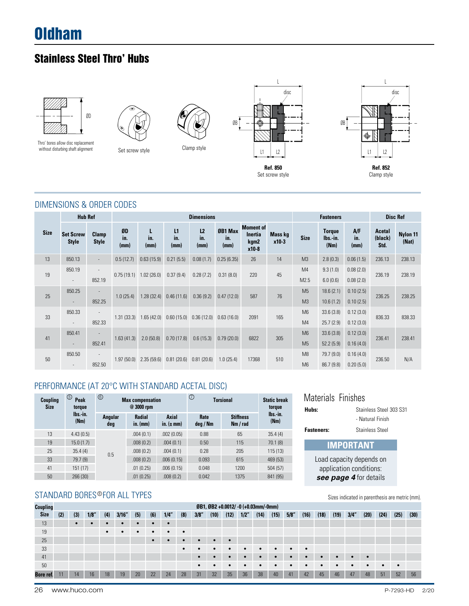# Oldham

# Stainless Steel Thro' Hubs



Thro' bores allow disc replacement without disturbing shaft alignment



Set screw style Clamp style



Set screw style

 $\mathbf{L}$ 

disc



# DIMENSIONS & ORDER CODES

|             | <b>Hub Ref</b>                   |                          |                   |                          |                   | <b>Dimensions</b>             |                        |                                              |                    | <b>Fasteners</b> |                                   | <b>Disc Ref</b>    |                                  |                   |
|-------------|----------------------------------|--------------------------|-------------------|--------------------------|-------------------|-------------------------------|------------------------|----------------------------------------------|--------------------|------------------|-----------------------------------|--------------------|----------------------------------|-------------------|
| <b>Size</b> | <b>Set Screw</b><br><b>Style</b> | Clamp<br><b>Style</b>    | ØD<br>in.<br>(mm) | L<br>in.<br>(mm)         | L1<br>in.<br>(mm) | L <sub>2</sub><br>in.<br>(mm) | ØB1 Max<br>in.<br>(mm) | <b>Moment of</b><br>Inertia<br>kgm2<br>x10-8 | Mass kg<br>$x10-3$ | <b>Size</b>      | <b>Torque</b><br>lbs.-in.<br>(Nm) | A/F<br>in.<br>(mm) | <b>Acetal</b><br>(black)<br>Std. | Nylon 11<br>(Nat) |
| 13          | 850.13                           | $\overline{\phantom{a}}$ | 0.5(12.7)         | 0.63(15.9)               | 0.21(5.5)         | 0.08(1.7)                     | 0.25(6.35)             | 26                                           | 14                 | M <sub>3</sub>   | 2.8(0.3)                          | 0.06(1.5)          | 236.13                           | 238.13            |
| 19          | 850.19                           | $\overline{\phantom{a}}$ |                   | $0.75(19.1)$ 1.02 (26.0) | 0.37(9.4)         | 0.28(7.2)                     | 0.31(8.0)              | 220                                          | 45                 | M4               | 9.3(1.0)                          | 0.08(2.0)          | 236.19                           | 238.19            |
|             | $\overline{\phantom{a}}$         | 852.19                   |                   |                          |                   |                               |                        |                                              |                    | M2.5             | 6.0(0.6)                          | 0.08(2.0)          |                                  |                   |
| 25          | 850.25                           |                          | 1.0(25.4)         | 1.28(32.4)               | 0.46(11.6)        | 0.36(9.2)                     | 0.47(12.0)             | 587                                          | 76                 | M <sub>5</sub>   | 18.6(2.1)                         | 0.10(2.5)          | 236.25                           | 238.25            |
|             | $\sim$                           | 852.25                   |                   |                          |                   |                               |                        |                                              |                    | M <sub>3</sub>   | 10.6(1.2)                         | 0.10(2.5)          |                                  |                   |
| 33          | 850.33                           |                          | 1.31(33.3)        | 1.65(42.0)               |                   | $0.60(15.0)$ $0.36(12.0)$     | 0.63(16.0)             | 2091                                         | 165                | M6               | 33.6(3.8)                         | 0.12(3.0)          | 836.33                           | 838.33            |
|             | $\overline{\phantom{a}}$         | 852.33                   |                   |                          |                   |                               |                        |                                              |                    | M <sub>4</sub>   | 25.7(2.9)                         | 0.12(3.0)          |                                  |                   |
| 41          | 850.41                           | $\sim$                   | 1.63(41.3)        | 2.0(50.8)                | 0.70(17.8)        | 0.6(15.3)                     | 0.79(20.0)             | 6822                                         | 305                | M6               | 33.6(3.8)                         | 0.12(3.0)          | 236.41                           | 238.41            |
|             | $\sim$                           | 852.41                   |                   |                          |                   |                               |                        |                                              |                    | M <sub>5</sub>   | 52.2(5.9)                         | 0.16(4.0)          |                                  |                   |
| 50          | 850.50                           | $\sim$                   | 1.97(50.0)        | 2.35(59.6)               | 0.81(20.6)        | 0.81(20.6)                    | 1.0(25.4)              | 17368                                        | 510                | M8               | 79.7 (9.0)                        | 0.16(4.0)          | 236.50                           | N/A               |
|             | $\overline{\phantom{a}}$         | 852.50                   |                   |                          |                   |                               |                        |                                              |                    | M6               | 86.7 (9.8)                        | 0.20(5.0)          |                                  |                   |

# PERFORMANCE (AT 20°C WITH STANDARD ACETAL DISC)

| Coupling    | ⑤<br>Peak                  | $^{\circ}$     | <b>Max compensation</b>                    |                         | $\circledcirc$   | <b>Torsional</b>             | <b>Static break</b>        | Materials               | Finishes                                   |  |  |
|-------------|----------------------------|----------------|--------------------------------------------|-------------------------|------------------|------------------------------|----------------------------|-------------------------|--------------------------------------------|--|--|
| <b>Size</b> | torque<br>lbs.-in.<br>(Nm) | Angular<br>deg | $@3000$ rpm<br><b>Radial</b><br>$in.$ (mm) | Axial<br>in. $(\pm$ mm) | Rate<br>deg / Nm | <b>Stiffness</b><br>Nm / rad | torque<br>lbs.-in.<br>(Nm) | Hubs:                   | <b>Stainless Steel</b><br>- Natural Finish |  |  |
| 13          | 4.43(0.5)                  |                | .004(0.1)                                  | .002(0.05)              | 0.88             | 65                           | 35.4(4)                    | <b>Fasteners:</b>       | Stainless Steel                            |  |  |
| 19          | 15.0(1.7)                  |                | .008(0.2)                                  | .004(0.1)               | 0.50             | 115                          | 70.1(8)                    |                         | <b>IMPORTANT</b>                           |  |  |
| 25          | 35.4(4)                    | 0.5            | .008(0.2)                                  | .004(0.1)               | 0.28             | 205                          | 115(13)                    |                         |                                            |  |  |
| 33          | 79.7 (9)                   |                | .008(0.2)                                  | .006(0.15)              | 0.093            | 615                          | 469 (53)                   |                         | Load capacity depends on                   |  |  |
| 41          | 151(17)                    |                | .01(0.25)                                  | .006(0.15)              | 0.048            | 1200                         | 504 (57)                   | application conditions: |                                            |  |  |
| 50          | 266 (30)                   |                | .01(0.25)                                  | .008(0.2)               | 0.042            | 1375                         | 841 (95)                   |                         | see page 4 for details                     |  |  |

# STANDARD BORES®FOR ALL TYPES

| Coupling    |     |     |      |     |      |     |           |           |           |                          |            |           | ØB1, ØB2 +0.0012/ -0 (+0.03mm/-0mm) |            |           |           |           |      |           |      | . .       |      |           |      |
|-------------|-----|-----|------|-----|------|-----|-----------|-----------|-----------|--------------------------|------------|-----------|-------------------------------------|------------|-----------|-----------|-----------|------|-----------|------|-----------|------|-----------|------|
| <b>Size</b> | (2) | (3) | 1/8" | (4) | 3/16 | (5) | (6)       | 1/4"      | (8)       | 3/8"                     | (10)       | (12)      | 1/2                                 | (14)       | (15)      | 5/8"      | (16)      | (18) | (19)      | 3/4" | (20)      | (24) | (25)      | (30) |
| 13          |     |     |      |     |      |     |           |           |           |                          |            |           |                                     |            |           |           |           |      |           |      |           |      |           |      |
| 19          |     |     |      | ٠   |      |     |           | $\bullet$ | $\bullet$ |                          |            |           |                                     |            |           |           |           |      |           |      |           |      |           |      |
| 25          |     |     |      |     |      |     | $\bullet$ |           |           | $\overline{\phantom{a}}$ | $\bullet$  | $\bullet$ |                                     |            |           |           |           |      |           |      |           |      |           |      |
| 33          |     |     |      |     |      |     |           |           | $\bullet$ |                          | $\bullet$  | $\bullet$ | $\bullet$                           | ٠          | $\bullet$ | $\bullet$ | $\bullet$ |      |           |      |           |      |           |      |
| 41          |     |     |      |     |      |     |           |           |           |                          | $\epsilon$ |           | $\bullet$                           | $\epsilon$ | $\bullet$ | ٠         | $\bullet$ |      | $\bullet$ |      | $\bullet$ |      |           |      |
| 50          |     |     |      |     |      |     |           |           |           | $\bullet$                |            | $\bullet$ | $\bullet$                           | ٠          | $\bullet$ |           | $\bullet$ |      | ٠         |      | $\bullet$ |      | $\bullet$ |      |
| Bore ref.   |     | 14  | 16   | 18  | 19   | 20  | 22        | 24        | 28        | 31                       | 32         | 35        | 36                                  | 38         | 40        | 41        | 42        | 45   | 46        | 47   | 48        | 51   | 52        | 56   |

# Materials Finishes **Hubs:** Stainless Steel 303 S31 - Natural Finish Load capacity depends on application conditions: **IMPORTANT**

Sizes indicated in parenthesis are metric (mm).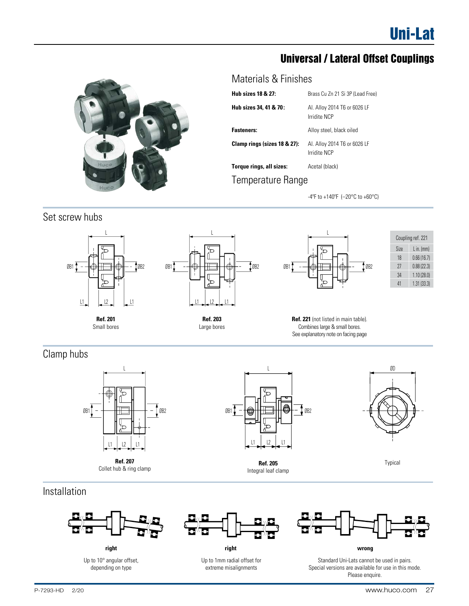# Universal / Lateral Offset Couplings



# Materials & Finishes

| <b>Hub sizes 18 &amp; 27:</b> | Brass Cu Zn 21 Si 3P (Lead Free)             |
|-------------------------------|----------------------------------------------|
| Hub sizes 34, 41 & 70:        | Al. Alloy 2014 T6 or 6026 LF<br>Irridite NCP |
| Fasteners:                    | Alloy steel, black oiled                     |
| Clamp rings (sizes 18 & 27):  | Al. Alloy 2014 T6 or 6026 LF<br>Irridite NCP |
| Torque rings, all sizes:      | Acetal (black)                               |
| Temperature Range             |                                              |

-4ºF to +140ºF (–20°C to +60°C)

# Set screw hubs L







| Coupling ref. 221 |            |  |  |  |  |  |  |  |  |
|-------------------|------------|--|--|--|--|--|--|--|--|
| Size              | L in. (mm) |  |  |  |  |  |  |  |  |
| 18                | 0.66(16.7) |  |  |  |  |  |  |  |  |
| 27                | 0.88(22.3) |  |  |  |  |  |  |  |  |
| 34                | 1.10(28.0) |  |  |  |  |  |  |  |  |
| 41                | 1.31(33.3) |  |  |  |  |  |  |  |  |

**Ref. 201** Small bores



**Ref. 221** (not listed in main table). Combines large & small bores. See explanatory note on facing page

# Clamp hubs



**Ref. 207** Collet hub & ring clamp



L

Integral leaf clamp



Typical

# Installation



**right** Up to 10° angular offset, depending on type



**right wrong**

Up to 1mm radial offset for extreme misalignments



Standard Uni-Lats cannot be used in pairs. Special versions are available for use in this mode. Please enquire.